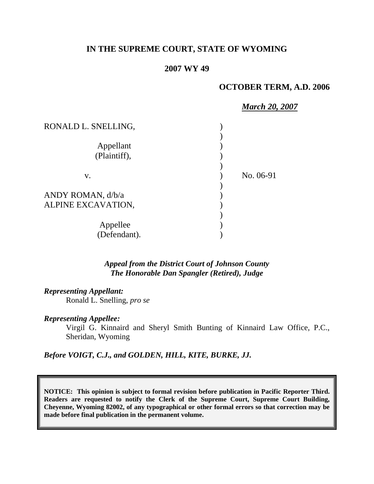# **IN THE SUPREME COURT, STATE OF WYOMING**

#### **2007 WY 49**

#### **OCTOBER TERM, A.D. 2006**

| <b>March 20, 2007</b> |
|-----------------------|
|                       |
|                       |
|                       |
|                       |
|                       |
| No. 06-91             |
|                       |
|                       |
|                       |
|                       |
|                       |
|                       |
|                       |

*Appeal from the District Court of Johnson County The Honorable Dan Spangler (Retired), Judge* 

*Representing Appellant:*

Ronald L. Snelling, *pro se*

*Representing Appellee:*

Virgil G. Kinnaird and Sheryl Smith Bunting of Kinnaird Law Office, P.C., Sheridan, Wyoming

*Before VOIGT, C.J., and GOLDEN, HILL, KITE, BURKE, JJ.*

**NOTICE: This opinion is subject to formal revision before publication in Pacific Reporter Third. Readers are requested to notify the Clerk of the Supreme Court, Supreme Court Building, Cheyenne, Wyoming 82002, of any typographical or other formal errors so that correction may be made before final publication in the permanent volume.**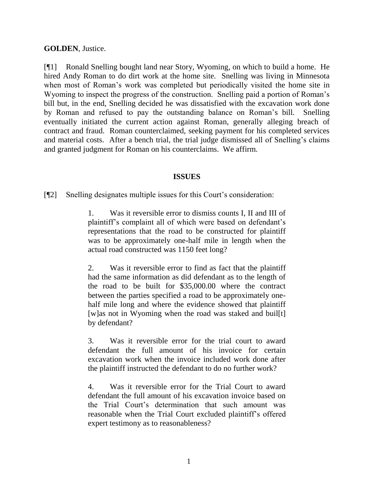### **GOLDEN**, Justice.

[¶1] Ronald Snelling bought land near Story, Wyoming, on which to build a home. He hired Andy Roman to do dirt work at the home site. Snelling was living in Minnesota when most of Roman's work was completed but periodically visited the home site in Wyoming to inspect the progress of the construction. Snelling paid a portion of Roman's bill but, in the end, Snelling decided he was dissatisfied with the excavation work done by Roman and refused to pay the outstanding balance on Roman's bill. Snelling eventually initiated the current action against Roman, generally alleging breach of contract and fraud. Roman counterclaimed, seeking payment for his completed services and material costs. After a bench trial, the trial judge dismissed all of Snelling's claims and granted judgment for Roman on his counterclaims. We affirm.

#### **ISSUES**

[¶2] Snelling designates multiple issues for this Court's consideration:

1. Was it reversible error to dismiss counts I, II and III of plaintiff's complaint all of which were based on defendant's representations that the road to be constructed for plaintiff was to be approximately one-half mile in length when the actual road constructed was 1150 feet long?

2. Was it reversible error to find as fact that the plaintiff had the same information as did defendant as to the length of the road to be built for \$35,000.00 where the contract between the parties specified a road to be approximately onehalf mile long and where the evidence showed that plaintiff [w]as not in Wyoming when the road was staked and buil[t] by defendant?

3. Was it reversible error for the trial court to award defendant the full amount of his invoice for certain excavation work when the invoice included work done after the plaintiff instructed the defendant to do no further work?

4. Was it reversible error for the Trial Court to award defendant the full amount of his excavation invoice based on the Trial Court's determination that such amount was reasonable when the Trial Court excluded plaintiff's offered expert testimony as to reasonableness?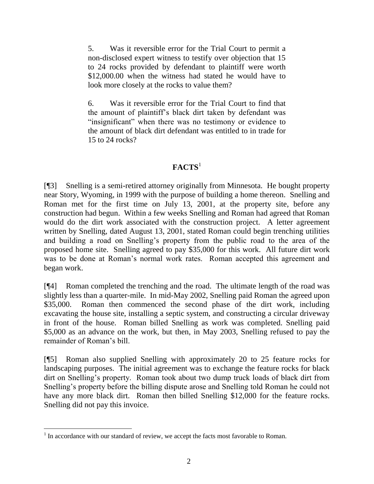5. Was it reversible error for the Trial Court to permit a non-disclosed expert witness to testify over objection that 15 to 24 rocks provided by defendant to plaintiff were worth \$12,000.00 when the witness had stated he would have to look more closely at the rocks to value them?

6. Was it reversible error for the Trial Court to find that the amount of plaintiff's black dirt taken by defendant was "insignificant" when there was no testimony or evidence to the amount of black dirt defendant was entitled to in trade for 15 to 24 rocks?

# **FACTS**<sup>1</sup>

[¶3] Snelling is a semi-retired attorney originally from Minnesota. He bought property near Story, Wyoming, in 1999 with the purpose of building a home thereon. Snelling and Roman met for the first time on July 13, 2001, at the property site, before any construction had begun. Within a few weeks Snelling and Roman had agreed that Roman would do the dirt work associated with the construction project. A letter agreement written by Snelling, dated August 13, 2001, stated Roman could begin trenching utilities and building a road on Snelling's property from the public road to the area of the proposed home site. Snelling agreed to pay \$35,000 for this work. All future dirt work was to be done at Roman's normal work rates. Roman accepted this agreement and began work.

[¶4] Roman completed the trenching and the road. The ultimate length of the road was slightly less than a quarter-mile. In mid-May 2002, Snelling paid Roman the agreed upon \$35,000. Roman then commenced the second phase of the dirt work, including excavating the house site, installing a septic system, and constructing a circular driveway in front of the house. Roman billed Snelling as work was completed. Snelling paid \$5,000 as an advance on the work, but then, in May 2003, Snelling refused to pay the remainder of Roman's bill.

[¶5] Roman also supplied Snelling with approximately 20 to 25 feature rocks for landscaping purposes. The initial agreement was to exchange the feature rocks for black dirt on Snelling's property. Roman took about two dump truck loads of black dirt from Snelling's property before the billing dispute arose and Snelling told Roman he could not have any more black dirt. Roman then billed Snelling \$12,000 for the feature rocks. Snelling did not pay this invoice.

 $<sup>1</sup>$  In accordance with our standard of review, we accept the facts most favorable to Roman.</sup>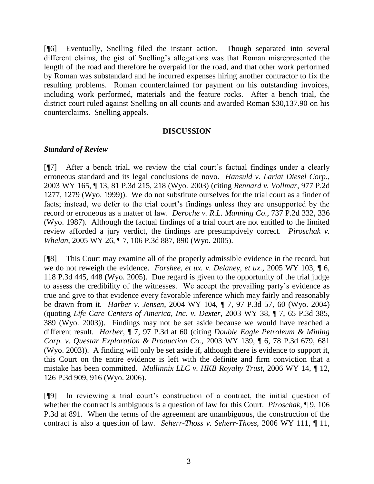[¶6] Eventually, Snelling filed the instant action. Though separated into several different claims, the gist of Snelling's allegations was that Roman misrepresented the length of the road and therefore he overpaid for the road, and that other work performed by Roman was substandard and he incurred expenses hiring another contractor to fix the resulting problems. Roman counterclaimed for payment on his outstanding invoices, including work performed, materials and the feature rocks. After a bench trial, the district court ruled against Snelling on all counts and awarded Roman \$30,137.90 on his counterclaims. Snelling appeals.

#### **DISCUSSION**

#### *Standard of Review*

[¶7] After a bench trial, we review the trial court's factual findings under a clearly erroneous standard and its legal conclusions de novo. *Hansuld v. Lariat Diesel Corp.*, 2003 WY 165, ¶ 13, 81 P.3d 215, 218 (Wyo. 2003) (citing *Rennard v. Vollmar*, 977 P.2d 1277, 1279 (Wyo. 1999)). We do not substitute ourselves for the trial court as a finder of facts; instead, we defer to the trial court's findings unless they are unsupported by the record or erroneous as a matter of law. *Deroche v. R.L. Manning Co*., 737 P.2d 332, 336 (Wyo. 1987). Although the factual findings of a trial court are not entitled to the limited review afforded a jury verdict, the findings are presumptively correct. *Piroschak v. Whelan*, 2005 WY 26, ¶ 7, 106 P.3d 887, 890 (Wyo. 2005).

[¶8] This Court may examine all of the properly admissible evidence in the record, but we do not reweigh the evidence. *Forshee, et ux. v. Delaney, et ux.,* 2005 WY 103, ¶ 6, 118 P.3d 445, 448 (Wyo. 2005). Due regard is given to the opportunity of the trial judge to assess the credibility of the witnesses. We accept the prevailing party's evidence as true and give to that evidence every favorable inference which may fairly and reasonably be drawn from it. *Harber v. Jensen*, 2004 WY 104, ¶ 7, 97 P.3d 57, 60 (Wyo. 2004) (quoting *Life Care Centers of America, Inc. v. Dexter*, 2003 WY 38, ¶ 7, 65 P.3d 385, 389 (Wyo. 2003)). Findings may not be set aside because we would have reached a different result. *Harber*, ¶ 7, 97 P.3d at 60 (citing *Double Eagle Petroleum & Mining Corp. v. Questar Exploration & Production Co.*, 2003 WY 139, ¶ 6, 78 P.3d 679, 681 (Wyo. 2003)). A finding will only be set aside if, although there is evidence to support it, this Court on the entire evidence is left with the definite and firm conviction that a mistake has been committed. *Mullinnix LLC v. HKB Royalty Trust*, 2006 WY 14, ¶ 12, 126 P.3d 909, 916 (Wyo. 2006).

[¶9] In reviewing a trial court's construction of a contract, the initial question of whether the contract is ambiguous is a question of law for this Court. *Piroschak*, ¶ 9, 106 P.3d at 891. When the terms of the agreement are unambiguous, the construction of the contract is also a question of law. *Seherr-Thoss v. Seherr-Thoss*, 2006 WY 111, ¶ 11,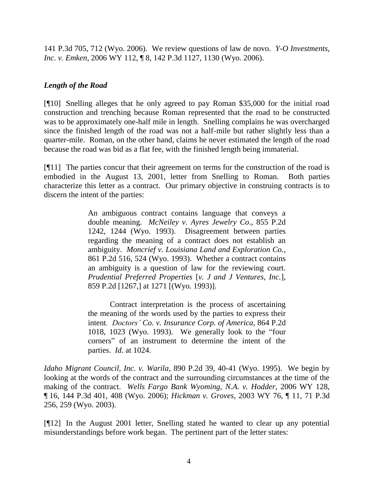141 P.3d 705, 712 (Wyo. 2006). We review questions of law de novo. *Y-O Investments, Inc. v. Emken*, 2006 WY 112, ¶ 8, 142 P.3d 1127, 1130 (Wyo. 2006).

# *Length of the Road*

[¶10] Snelling alleges that he only agreed to pay Roman \$35,000 for the initial road construction and trenching because Roman represented that the road to be constructed was to be approximately one-half mile in length. Snelling complains he was overcharged since the finished length of the road was not a half-mile but rather slightly less than a quarter-mile. Roman, on the other hand, claims he never estimated the length of the road because the road was bid as a flat fee, with the finished length being immaterial.

[¶11] The parties concur that their agreement on terms for the construction of the road is embodied in the August 13, 2001, letter from Snelling to Roman. Both parties characterize this letter as a contract. Our primary objective in construing contracts is to discern the intent of the parties:

> An ambiguous contract contains language that conveys a double meaning. *McNeiley v. Ayres Jewelry Co*., 855 P.2d 1242, 1244 (Wyo. 1993). Disagreement between parties regarding the meaning of a contract does not establish an ambiguity. *Moncrief v. Louisiana Land and Exploration Co.*, 861 P.2d 516, 524 (Wyo. 1993). Whether a contract contains an ambiguity is a question of law for the reviewing court. *Prudential Preferred Properties* [*v. J and J Ventures, Inc.*], 859 P.2d [1267,] at 1271 [(Wyo. 1993)].

> Contract interpretation is the process of ascertaining the meaning of the words used by the parties to express their intent*. Doctors' Co. v. Insurance Corp. of America*, 864 P.2d 1018, 1023 (Wyo. 1993). We generally look to the "four corners" of an instrument to determine the intent of the parties. *Id*. at 1024.

*Idaho Migrant Council, Inc. v. Warila*, 890 P.2d 39, 40-41 (Wyo. 1995). We begin by looking at the words of the contract and the surrounding circumstances at the time of the making of the contract. *Wells Fargo Bank Wyoming, N.A. v. Hodder*, 2006 WY 128, ¶ 16, 144 P.3d 401, 408 (Wyo. 2006); *Hickman v. Groves*, 2003 WY 76, ¶ 11, 71 P.3d 256, 259 (Wyo. 2003).

[¶12] In the August 2001 letter, Snelling stated he wanted to clear up any potential misunderstandings before work began. The pertinent part of the letter states: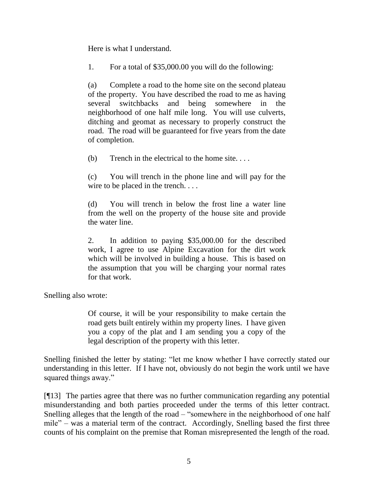Here is what I understand.

1. For a total of \$35,000.00 you will do the following:

(a) Complete a road to the home site on the second plateau of the property. You have described the road to me as having several switchbacks and being somewhere in the neighborhood of one half mile long. You will use culverts, ditching and geomat as necessary to properly construct the road. The road will be guaranteed for five years from the date of completion.

(b) Trench in the electrical to the home site. . . .

(c) You will trench in the phone line and will pay for the wire to be placed in the trench. . . .

(d) You will trench in below the frost line a water line from the well on the property of the house site and provide the water line.

2. In addition to paying \$35,000.00 for the described work, I agree to use Alpine Excavation for the dirt work which will be involved in building a house. This is based on the assumption that you will be charging your normal rates for that work.

Snelling also wrote:

Of course, it will be your responsibility to make certain the road gets built entirely within my property lines. I have given you a copy of the plat and I am sending you a copy of the legal description of the property with this letter.

Snelling finished the letter by stating: "let me know whether I have correctly stated our understanding in this letter. If I have not, obviously do not begin the work until we have squared things away."

[¶13] The parties agree that there was no further communication regarding any potential misunderstanding and both parties proceeded under the terms of this letter contract. Snelling alleges that the length of the road – "somewhere in the neighborhood of one half mile" – was a material term of the contract. Accordingly, Snelling based the first three counts of his complaint on the premise that Roman misrepresented the length of the road.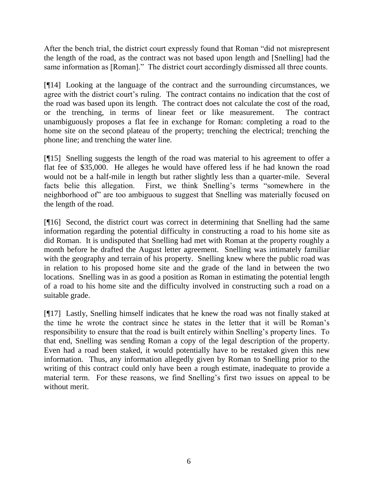After the bench trial, the district court expressly found that Roman "did not misrepresent the length of the road, as the contract was not based upon length and [Snelling] had the same information as [Roman]." The district court accordingly dismissed all three counts.

[¶14] Looking at the language of the contract and the surrounding circumstances, we agree with the district court's ruling. The contract contains no indication that the cost of the road was based upon its length. The contract does not calculate the cost of the road, or the trenching, in terms of linear feet or like measurement. The contract unambiguously proposes a flat fee in exchange for Roman: completing a road to the home site on the second plateau of the property; trenching the electrical; trenching the phone line; and trenching the water line.

[¶15] Snelling suggests the length of the road was material to his agreement to offer a flat fee of \$35,000. He alleges he would have offered less if he had known the road would not be a half-mile in length but rather slightly less than a quarter-mile. Several facts belie this allegation. First, we think Snelling's terms "somewhere in the neighborhood of" are too ambiguous to suggest that Snelling was materially focused on the length of the road.

[¶16] Second, the district court was correct in determining that Snelling had the same information regarding the potential difficulty in constructing a road to his home site as did Roman. It is undisputed that Snelling had met with Roman at the property roughly a month before he drafted the August letter agreement. Snelling was intimately familiar with the geography and terrain of his property. Snelling knew where the public road was in relation to his proposed home site and the grade of the land in between the two locations. Snelling was in as good a position as Roman in estimating the potential length of a road to his home site and the difficulty involved in constructing such a road on a suitable grade.

[¶17] Lastly, Snelling himself indicates that he knew the road was not finally staked at the time he wrote the contract since he states in the letter that it will be Roman's responsibility to ensure that the road is built entirely within Snelling's property lines. To that end, Snelling was sending Roman a copy of the legal description of the property. Even had a road been staked, it would potentially have to be restaked given this new information. Thus, any information allegedly given by Roman to Snelling prior to the writing of this contract could only have been a rough estimate, inadequate to provide a material term. For these reasons, we find Snelling's first two issues on appeal to be without merit.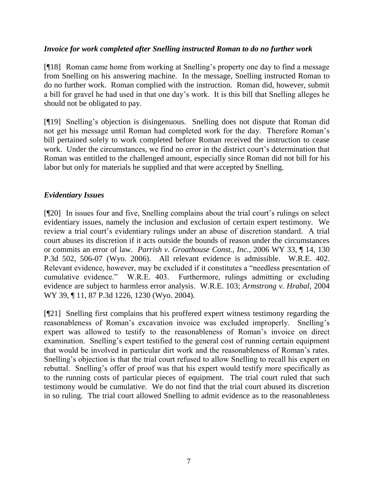### *Invoice for work completed after Snelling instructed Roman to do no further work*

[¶18] Roman came home from working at Snelling's property one day to find a message from Snelling on his answering machine. In the message, Snelling instructed Roman to do no further work. Roman complied with the instruction. Roman did, however, submit a bill for gravel he had used in that one day's work. It is this bill that Snelling alleges he should not be obligated to pay.

[¶19] Snelling's objection is disingenuous. Snelling does not dispute that Roman did not get his message until Roman had completed work for the day. Therefore Roman's bill pertained solely to work completed before Roman received the instruction to cease work. Under the circumstances, we find no error in the district court's determination that Roman was entitled to the challenged amount, especially since Roman did not bill for his labor but only for materials he supplied and that were accepted by Snelling.

### *Evidentiary Issues*

[¶20] In issues four and five, Snelling complains about the trial court's rulings on select evidentiary issues, namely the inclusion and exclusion of certain expert testimony. We review a trial court's evidentiary rulings under an abuse of discretion standard. A trial court abuses its discretion if it acts outside the bounds of reason under the circumstances or commits an error of law. *Parrish v. Groathouse Const., Inc.*, 2006 WY 33, ¶ 14, 130 P.3d 502, 506-07 (Wyo. 2006). All relevant evidence is admissible. W.R.E. 402. Relevant evidence, however, may be excluded if it constitutes a "needless presentation of cumulative evidence." W.R.E. 403. Furthermore, rulings admitting or excluding evidence are subject to harmless error analysis. W.R.E. 103; *Armstrong v. Hrabal*, 2004 WY 39, ¶ 11, 87 P.3d 1226, 1230 (Wyo. 2004).

[¶21] Snelling first complains that his proffered expert witness testimony regarding the reasonableness of Roman's excavation invoice was excluded improperly. Snelling's expert was allowed to testify to the reasonableness of Roman's invoice on direct examination. Snelling's expert testified to the general cost of running certain equipment that would be involved in particular dirt work and the reasonableness of Roman's rates. Snelling's objection is that the trial court refused to allow Snelling to recall his expert on rebuttal. Snelling's offer of proof was that his expert would testify more specifically as to the running costs of particular pieces of equipment. The trial court ruled that such testimony would be cumulative. We do not find that the trial court abused its discretion in so ruling. The trial court allowed Snelling to admit evidence as to the reasonableness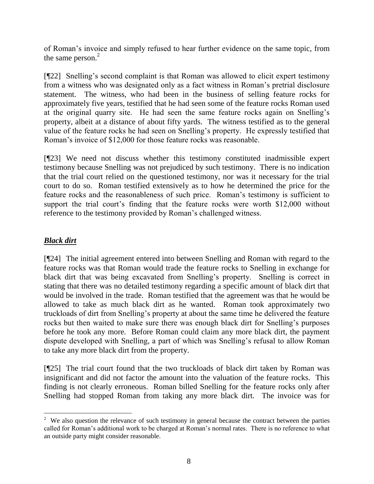of Roman's invoice and simply refused to hear further evidence on the same topic, from the same person.<sup>2</sup>

[¶22] Snelling's second complaint is that Roman was allowed to elicit expert testimony from a witness who was designated only as a fact witness in Roman's pretrial disclosure statement. The witness, who had been in the business of selling feature rocks for approximately five years, testified that he had seen some of the feature rocks Roman used at the original quarry site. He had seen the same feature rocks again on Snelling's property, albeit at a distance of about fifty yards. The witness testified as to the general value of the feature rocks he had seen on Snelling's property. He expressly testified that Roman's invoice of \$12,000 for those feature rocks was reasonable.

[¶23] We need not discuss whether this testimony constituted inadmissible expert testimony because Snelling was not prejudiced by such testimony. There is no indication that the trial court relied on the questioned testimony, nor was it necessary for the trial court to do so. Roman testified extensively as to how he determined the price for the feature rocks and the reasonableness of such price. Roman's testimony is sufficient to support the trial court's finding that the feature rocks were worth \$12,000 without reference to the testimony provided by Roman's challenged witness.

# *Black dirt*

[¶24] The initial agreement entered into between Snelling and Roman with regard to the feature rocks was that Roman would trade the feature rocks to Snelling in exchange for black dirt that was being excavated from Snelling's property. Snelling is correct in stating that there was no detailed testimony regarding a specific amount of black dirt that would be involved in the trade. Roman testified that the agreement was that he would be allowed to take as much black dirt as he wanted. Roman took approximately two truckloads of dirt from Snelling's property at about the same time he delivered the feature rocks but then waited to make sure there was enough black dirt for Snelling's purposes before he took any more. Before Roman could claim any more black dirt, the payment dispute developed with Snelling, a part of which was Snelling's refusal to allow Roman to take any more black dirt from the property.

[¶25] The trial court found that the two truckloads of black dirt taken by Roman was insignificant and did not factor the amount into the valuation of the feature rocks. This finding is not clearly erroneous. Roman billed Snelling for the feature rocks only after Snelling had stopped Roman from taking any more black dirt. The invoice was for

  $2$  We also question the relevance of such testimony in general because the contract between the parties called for Roman's additional work to be charged at Roman's normal rates. There is no reference to what an outside party might consider reasonable.